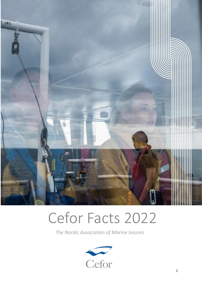

# Cefor Facts 2022

*The Nordic Association of Marine Insures*

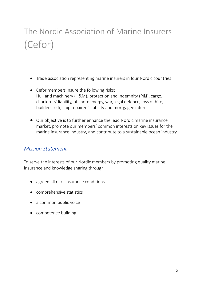## The Nordic Association of Marine Insurers (Cefor)

- Trade association representing marine insurers in four Nordic countries
- Cefor members insure the following risks: Hull and machinery (H&M), protection and indemnity (P&I), cargo, charterers' liability, offshore energy, war, legal defence, loss of hire, builders' risk, ship repairers' liability and mortgagee interest
- Our objective is to further enhance the lead Nordic marine insurance market, promote our members' common interests on key issues for the marine insurance industry, and contribute to a sustainable ocean industry

### *Mission Statement*

To serve the interests of our Nordic members by promoting quality marine insurance and knowledge sharing through

- agreed all risks insurance conditions
- comprehensive statistics
- a common public voice
- competence building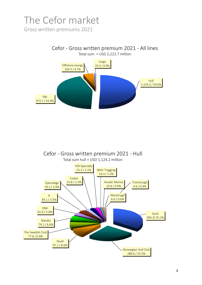# The Cefor market

Gross written premiums 2021



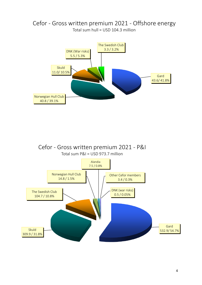

#### Cefor - Gross written premium 2021 - Offshore energy Total sum hull = USD 104.3 million

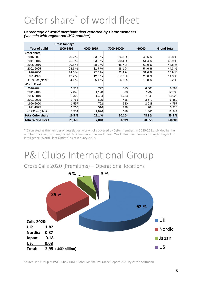## Cefor share\* of world fleet

#### *Percentage of world merchant fleet reported by Cefor members: (vessels with registered IMO number)*

|                          | Gross tonnage |           |            |        |                    |
|--------------------------|---------------|-----------|------------|--------|--------------------|
| Year of build            | 1000-3999     | 4000-6999 | 7000-10000 | >10000 | <b>Grand Total</b> |
| <b>Cefor share</b>       |               |           |            |        |                    |
| 2016-2021                | 20.2%         | 23.5 %    | 24.3%      | 46.6%  | 38.8%              |
| 2011-2015                | 25.9%         | 33.6 %    | 30.4 %     | 51.4 % | 42.9%              |
| 2006-2010                | 30.8%         | 38.2%     | 45.7 %     | 60.0%  | 48.8%              |
| 2001-2005                | 28.6%         | 31.7 %    | 38.1 %     | 54.6 % | 44.3%              |
| 1996-2000                | 24.0%         | 22.5 %    | 22.4 %     | 31.6%  | 26.9%              |
| 1991-1995                | 12.2 %        | 12.0%     | 17.2 %     | 20.0%  | 14.3 %             |
| <1991 or (blank)         | 4.1%          | 5.4 %     | 6.8%       | 10.8%  | 5.2%               |
| <b>World Fleet</b>       |               |           |            |        |                    |
| 2016-2021                | 1,533         | 727       | 515        | 6,008  | 8,783              |
| 2011-2015                | 2,845         | 1,128     | 570        | 7,737  | 12,280             |
| 2006-2010                | 3,320         | 1,404     | 1,253      | 7,043  | 13,020             |
| 2001-2005                | 1,761         | 625       | 415        | 3,679  | 6,480              |
| 1996-2000                | 1,597         | 792       | 330        | 2,038  | 4,757              |
| 1991-1995                | 1,760         | 516       | 238        | 704    | 3,218              |
| <1991 or (blank)         | 8,554         | 1,826     | 618        | 1,346  | 12,344             |
| <b>Total Cefor share</b> | 16.5%         | 23.1%     | 30.1%      | 48.9%  | 33.3%              |
| <b>Total World Fleet</b> | 21,370        | 7,018     | 3,939      | 28,555 | 60,882             |

\* Calculated as the number of vessels partly or wholly covered by Cefor members in 2020/2021, divided by the number of vessels with registered IMO number in the world fleet. World fleet numbers according to Lloyds List Intelligence 'World Fleet Update' as of January 2022.

### P&I Clubs International Group

Gross Calls 2020 (Premiums) – Operational locations

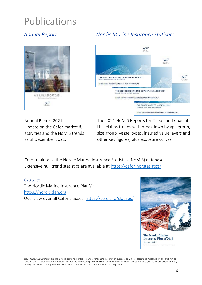### Publications



### *Annual Report Nordic Marine Insurance Statistics*



Annual Report 2021: Update on the Cefor market & activities and the NoMIS trends as of December 2021.

The 2021 NoMIS Reports for Ocean and Coastal Hull claims trends with breakdown by age group, size group, vessel types, insured value layers and other key figures, plus exposure curves.

Cefor maintains the Nordic Marine Insurance Statistics (NoMIS) database. Extensive hull trend statistics are available at [https://cefor.no/statistics/](http://www.cefor.no/statistics).

#### *Clauses*

The Nordic Marine Insurance Plan©: [https://nordicplan.org](http://www.nordicplan.org/) Overview over all Cefor clauses: [https://cefor.no/clauses/](https://cefor.no/clauses)



The Nordic Marine **Insurance Plan of 2013** Version 2019

*Legal disclaimer*: Cefor provides the material contained in this Fact Sheet for general information purposes only. Cefor accepts no responsibility and shall not be liable for any loss that may arise from reliance upon the information provided. This information is not intended for distribution to, or use by, any person or entity in any jurisdiction or country where such distribution or use would be contrary to local law or regulation.